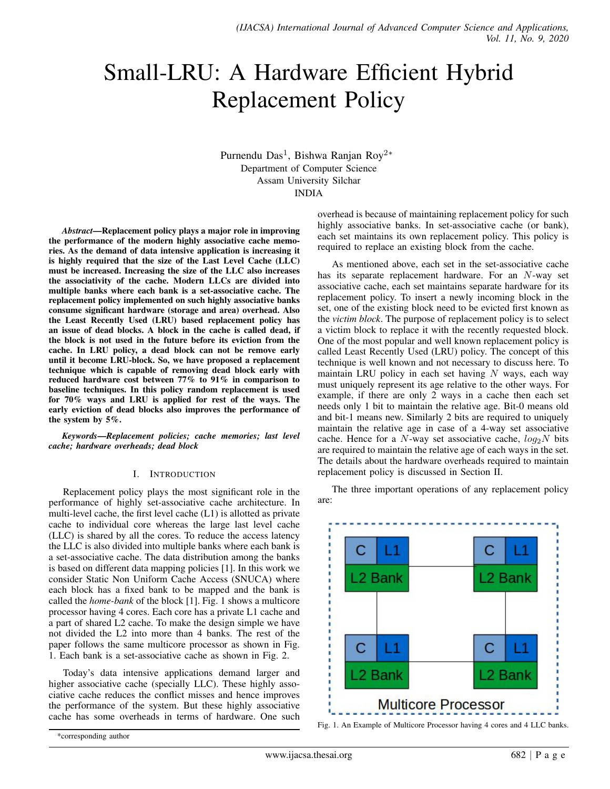# Small-LRU: A Hardware Efficient Hybrid Replacement Policy

Purnendu Das<sup>1</sup>, Bishwa Ranjan Roy<sup>2</sup>\* Department of Computer Science Assam University Silchar INDIA

*Abstract*—Replacement policy plays a major role in improving the performance of the modern highly associative cache memories. As the demand of data intensive application is increasing it is highly required that the size of the Last Level Cache (LLC) must be increased. Increasing the size of the LLC also increases the associativity of the cache. Modern LLCs are divided into multiple banks where each bank is a set-associative cache. The replacement policy implemented on such highly associative banks consume significant hardware (storage and area) overhead. Also the Least Recently Used (LRU) based replacement policy has an issue of dead blocks. A block in the cache is called dead, if the block is not used in the future before its eviction from the cache. In LRU policy, a dead block can not be remove early until it become LRU-block. So, we have proposed a replacement technique which is capable of removing dead block early with reduced hardware cost between 77% to 91% in comparison to baseline techniques. In this policy random replacement is used for 70% ways and LRU is applied for rest of the ways. The early eviction of dead blocks also improves the performance of the system by 5%.

*Keywords*—*Replacement policies; cache memories; last level cache; hardware overheads; dead block*

# I. INTRODUCTION

Replacement policy plays the most significant role in the performance of highly set-associative cache architecture. In multi-level cache, the first level cache  $(L1)$  is allotted as private cache to individual core whereas the large last level cache (LLC) is shared by all the cores. To reduce the access latency the LLC is also divided into multiple banks where each bank is a set-associative cache. The data distribution among the banks is based on different data mapping policies [1]. In this work we consider Static Non Uniform Cache Access (SNUCA) where each block has a fixed bank to be mapped and the bank is called the *home-bank* of the block [1]. Fig. 1 shows a multicore processor having 4 cores. Each core has a private L1 cache and a part of shared L2 cache. To make the design simple we have not divided the L2 into more than 4 banks. The rest of the paper follows the same multicore processor as shown in Fig. 1. Each bank is a set-associative cache as shown in Fig. 2.

Today's data intensive applications demand larger and higher associative cache (specially LLC). These highly associative cache reduces the conflict misses and hence improves the performance of the system. But these highly associative cache has some overheads in terms of hardware. One such overhead is because of maintaining replacement policy for such highly associative banks. In set-associative cache (or bank), each set maintains its own replacement policy. This policy is required to replace an existing block from the cache.

As mentioned above, each set in the set-associative cache has its separate replacement hardware. For an N-way set associative cache, each set maintains separate hardware for its replacement policy. To insert a newly incoming block in the set, one of the existing block need to be evicted first known as the *victim block*. The purpose of replacement policy is to select a victim block to replace it with the recently requested block. One of the most popular and well known replacement policy is called Least Recently Used (LRU) policy. The concept of this technique is well known and not necessary to discuss here. To maintain LRU policy in each set having  $N$  ways, each way must uniquely represent its age relative to the other ways. For example, if there are only 2 ways in a cache then each set needs only 1 bit to maintain the relative age. Bit-0 means old and bit-1 means new. Similarly 2 bits are required to uniquely maintain the relative age in case of a 4-way set associative cache. Hence for a N-way set associative cache,  $log_2N$  bits are required to maintain the relative age of each ways in the set. The details about the hardware overheads required to maintain replacement policy is discussed in Section II.

The three important operations of any replacement policy are:



Fig. 1. An Example of Multicore Processor having 4 cores and 4 LLC banks.

<sup>\*</sup>corresponding author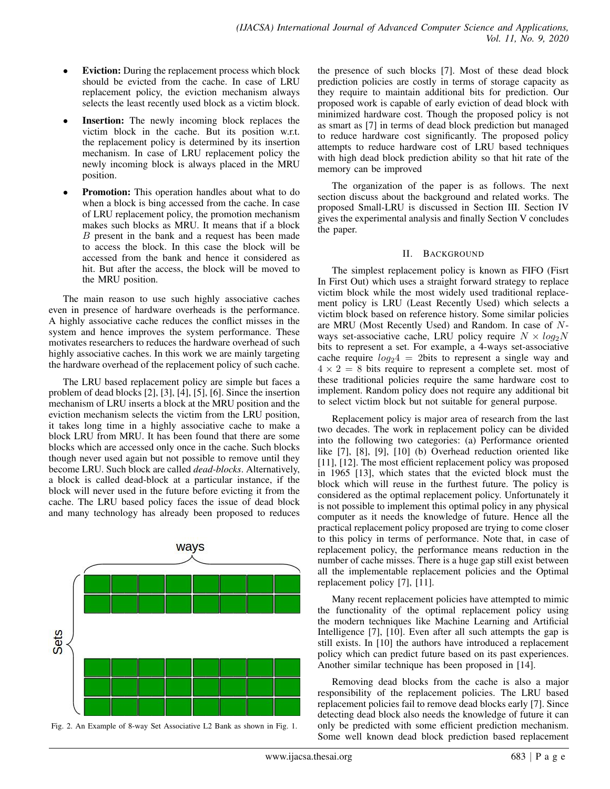- **Eviction:** During the replacement process which block should be evicted from the cache. In case of LRU replacement policy, the eviction mechanism always selects the least recently used block as a victim block.
- **Insertion:** The newly incoming block replaces the victim block in the cache. But its position w.r.t. the replacement policy is determined by its insertion mechanism. In case of LRU replacement policy the newly incoming block is always placed in the MRU position.
- Promotion: This operation handles about what to do when a block is bing accessed from the cache. In case of LRU replacement policy, the promotion mechanism makes such blocks as MRU. It means that if a block B present in the bank and a request has been made to access the block. In this case the block will be accessed from the bank and hence it considered as hit. But after the access, the block will be moved to the MRU position.

The main reason to use such highly associative caches even in presence of hardware overheads is the performance. A highly associative cache reduces the conflict misses in the system and hence improves the system performance. These motivates researchers to reduces the hardware overhead of such highly associative caches. In this work we are mainly targeting the hardware overhead of the replacement policy of such cache.

The LRU based replacement policy are simple but faces a problem of dead blocks [2], [3], [4], [5], [6]. Since the insertion mechanism of LRU inserts a block at the MRU position and the eviction mechanism selects the victim from the LRU position, it takes long time in a highly associative cache to make a block LRU from MRU. It has been found that there are some blocks which are accessed only once in the cache. Such blocks though never used again but not possible to remove until they become LRU. Such block are called *dead-blocks*. Alternatively, a block is called dead-block at a particular instance, if the block will never used in the future before evicting it from the cache. The LRU based policy faces the issue of dead block and many technology has already been proposed to reduces





the presence of such blocks [7]. Most of these dead block prediction policies are costly in terms of storage capacity as they require to maintain additional bits for prediction. Our proposed work is capable of early eviction of dead block with minimized hardware cost. Though the proposed policy is not as smart as [7] in terms of dead block prediction but managed to reduce hardware cost significantly. The proposed policy attempts to reduce hardware cost of LRU based techniques with high dead block prediction ability so that hit rate of the memory can be improved

The organization of the paper is as follows. The next section discuss about the background and related works. The proposed Small-LRU is discussed in Section III. Section IV gives the experimental analysis and finally Section V concludes the paper.

#### II. BACKGROUND

The simplest replacement policy is known as FIFO (Fisrt In First Out) which uses a straight forward strategy to replace victim block while the most widely used traditional replacement policy is LRU (Least Recently Used) which selects a victim block based on reference history. Some similar policies are MRU (Most Recently Used) and Random. In case of Nways set-associative cache, LRU policy require  $N \times log_2N$ bits to represent a set. For example, a 4-ways set-associative cache require  $log_2 4 = 2$ bits to represent a single way and  $4 \times 2 = 8$  bits require to represent a complete set. most of these traditional policies require the same hardware cost to implement. Random policy does not require any additional bit to select victim block but not suitable for general purpose.

Replacement policy is major area of research from the last two decades. The work in replacement policy can be divided into the following two categories: (a) Performance oriented like [7], [8], [9], [10] (b) Overhead reduction oriented like [11], [12]. The most efficient replacement policy was proposed in 1965 [13], which states that the evicted block must the block which will reuse in the furthest future. The policy is considered as the optimal replacement policy. Unfortunately it is not possible to implement this optimal policy in any physical computer as it needs the knowledge of future. Hence all the practical replacement policy proposed are trying to come closer to this policy in terms of performance. Note that, in case of replacement policy, the performance means reduction in the number of cache misses. There is a huge gap still exist between all the implementable replacement policies and the Optimal replacement policy [7], [11].

Many recent replacement policies have attempted to mimic the functionality of the optimal replacement policy using the modern techniques like Machine Learning and Artificial Intelligence [7], [10]. Even after all such attempts the gap is still exists. In [10] the authors have introduced a replacement policy which can predict future based on its past experiences. Another similar technique has been proposed in [14].

Removing dead blocks from the cache is also a major responsibility of the replacement policies. The LRU based replacement policies fail to remove dead blocks early [7]. Since detecting dead block also needs the knowledge of future it can only be predicted with some efficient prediction mechanism. Some well known dead block prediction based replacement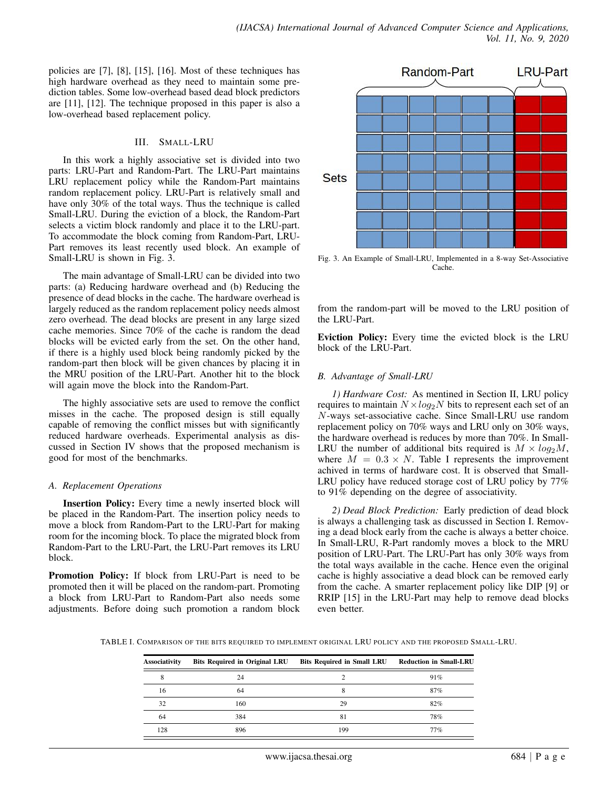policies are [7], [8], [15], [16]. Most of these techniques has high hardware overhead as they need to maintain some prediction tables. Some low-overhead based dead block predictors are [11], [12]. The technique proposed in this paper is also a low-overhead based replacement policy.

### III. SMALL-LRU

In this work a highly associative set is divided into two parts: LRU-Part and Random-Part. The LRU-Part maintains LRU replacement policy while the Random-Part maintains random replacement policy. LRU-Part is relatively small and have only 30% of the total ways. Thus the technique is called Small-LRU. During the eviction of a block, the Random-Part selects a victim block randomly and place it to the LRU-part. To accommodate the block coming from Random-Part, LRU-Part removes its least recently used block. An example of Small-LRU is shown in Fig. 3.

The main advantage of Small-LRU can be divided into two parts: (a) Reducing hardware overhead and (b) Reducing the presence of dead blocks in the cache. The hardware overhead is largely reduced as the random replacement policy needs almost zero overhead. The dead blocks are present in any large sized cache memories. Since 70% of the cache is random the dead blocks will be evicted early from the set. On the other hand, if there is a highly used block being randomly picked by the random-part then block will be given chances by placing it in the MRU position of the LRU-Part. Another hit to the block will again move the block into the Random-Part.

The highly associative sets are used to remove the conflict misses in the cache. The proposed design is still equally capable of removing the conflict misses but with significantly reduced hardware overheads. Experimental analysis as discussed in Section IV shows that the proposed mechanism is good for most of the benchmarks.

# *A. Replacement Operations*

Insertion Policy: Every time a newly inserted block will be placed in the Random-Part. The insertion policy needs to move a block from Random-Part to the LRU-Part for making room for the incoming block. To place the migrated block from Random-Part to the LRU-Part, the LRU-Part removes its LRU block.

Promotion Policy: If block from LRU-Part is need to be promoted then it will be placed on the random-part. Promoting a block from LRU-Part to Random-Part also needs some adjustments. Before doing such promotion a random block



Fig. 3. An Example of Small-LRU, Implemented in a 8-way Set-Associative Cache.

from the random-part will be moved to the LRU position of the LRU-Part.

Eviction Policy: Every time the evicted block is the LRU block of the LRU-Part.

# *B. Advantage of Small-LRU*

*1) Hardware Cost:* As mentined in Section II, LRU policy requires to maintain  $N \times log_2N$  bits to represent each set of an N-ways set-associative cache. Since Small-LRU use random replacement policy on 70% ways and LRU only on 30% ways, the hardware overhead is reduces by more than 70%. In Small-LRU the number of additional bits required is  $M \times log_2 M$ , where  $M = 0.3 \times N$ . Table I represents the improvement achived in terms of hardware cost. It is observed that Small-LRU policy have reduced storage cost of LRU policy by 77% to 91% depending on the degree of associativity.

*2) Dead Block Prediction:* Early prediction of dead block is always a challenging task as discussed in Section I. Removing a dead block early from the cache is always a better choice. In Small-LRU, R-Part randomly moves a block to the MRU position of LRU-Part. The LRU-Part has only 30% ways from the total ways available in the cache. Hence even the original cache is highly associative a dead block can be removed early from the cache. A smarter replacement policy like DIP [9] or RRIP [15] in the LRU-Part may help to remove dead blocks even better.

TABLE I. COMPARISON OF THE BITS REQUIRED TO IMPLEMENT ORIGINAL LRU POLICY AND THE PROPOSED SMALL-LRU.

| <b>Associativity</b> | <b>Bits Required in Original LRU</b> | Bits Required in Small LRU Reduction in Small-LRU |     |
|----------------------|--------------------------------------|---------------------------------------------------|-----|
|                      | 24                                   |                                                   | 91% |
| 16                   | 64                                   |                                                   | 87% |
| 32                   | 160                                  | 29                                                | 82% |
| 64                   | 384                                  | 81                                                | 78% |
| 128                  | 896                                  | 199                                               | 77% |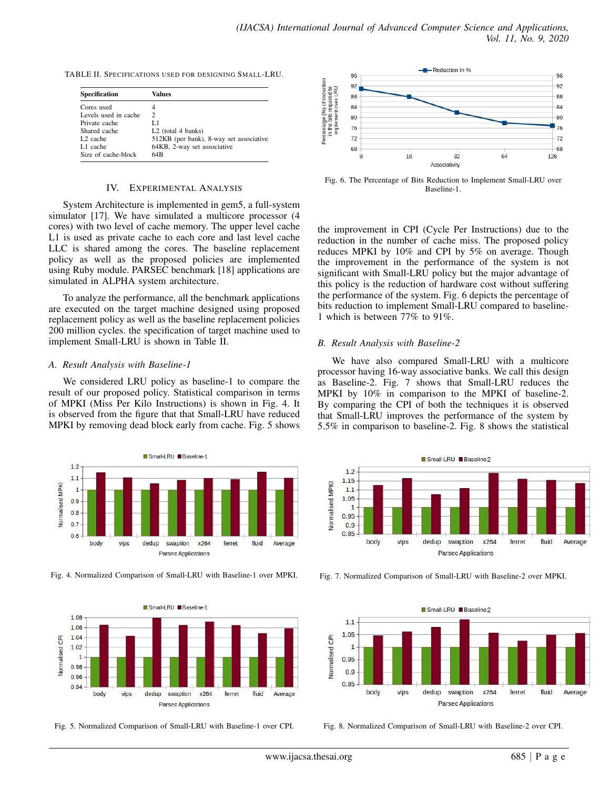TABLE II. SPECIFICATIONS USED FOR DESIGNING SMALL-LRU.

| <b>Specification</b> | Values                                  |  |
|----------------------|-----------------------------------------|--|
| Cores used           | 4                                       |  |
| Levels used in cache | 2                                       |  |
| Private cache        | L 1                                     |  |
| Shared cache         | $L2$ (total 4 banks)                    |  |
| L <sub>2</sub> cache | 512KB (per bank), 8-way set associative |  |
| L1 cache             | 64KB, 2-way set associative             |  |
| Size of cache-block  | 64 <sub>R</sub>                         |  |

#### IV. EXPERIMENTAL ANALYSIS

System Architecture is implemented in gem5, a full-system simulator [17]. We have simulated a multicore processor (4 cores) with two level of cache memory. The upper level cache L1 is used as private cache to each core and last level cache LLC is shared among the cores. The baseline replacement policy as well as the proposed policies are implemented using Ruby module. PARSEC benchmark [18] applications are simulated in ALPHA system architecture.

To analyze the performance, all the benchmark applications are executed on the target machine designed using proposed replacement policy as well as the baseline replacement policies 200 million cycles. the specification of target machine used to implement Small-LRU is shown in Table II.

#### *A. Result Analysis with Baseline-1*

We considered LRU policy as baseline-1 to compare the result of our proposed policy. Statistical comparison in terms of MPKI (Miss Per Kilo Instructions) is shown in Fig. 4. It is observed from the figure that that Small-LRU have reduced MPKI by removing dead block early from cache. Fig. 5 shows



Fig. 4. Normalized Comparison of Small-LRU with Baseline-1 over MPKI.







Fig. 6. The Percentage of Bits Reduction to Implement Small-LRU over Baseline-1.

the improvement in CPI (Cycle Per Instructions) due to the reduction in the number of cache miss. The proposed policy reduces MPKI by 10% and CPI by 5% on average. Though the improvement in the performance of the system is not significant with Small-LRU policy but the major advantage of this policy is the reduction of hardware cost without suffering the performance of the system. Fig. 6 depicts the percentage of bits reduction to implement Small-LRU compared to baseline-1 which is between 77% to 91%.

#### *B. Result Analysis with Baseline-2*

We have also compared Small-LRU with a multicore processor having 16-way associative banks. We call this design as Baseline-2. Fig. 7 shows that Small-LRU reduces the MPKI by 10% in comparison to the MPKI of baseline-2. By comparing the CPI of both the techniques it is observed that Small-LRU improves the performance of the system by 5.5% in comparison to baseline-2. Fig. 8 shows the statistical



Fig. 7. Normalized Comparison of Small-LRU with Baseline-2 over MPKI.



Fig. 8. Normalized Comparison of Small-LRU with Baseline-2 over CPI.